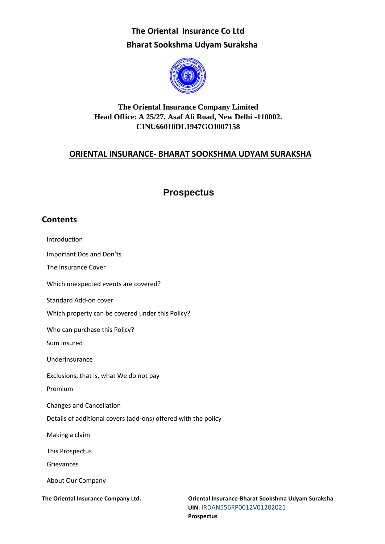

## **The Oriental Insurance Company Limited Head Office: A 25/27, Asaf Ali Road, New Delhi -110002. CINU66010DL1947GOI007158**

## **ORIENTAL INSURANCE- BHARAT SOOKSHMA UDYAM SURAKSHA**

## **Prospectus**

## **Contents**

Introduction Important Dos and Don'ts The Insurance Cover Which unexpected events are covered? Standard Add-on cover Which property can be covered under this Policy? Who can purchase this Policy? Sum Insured Underinsurance Exclusions, that is, what We do not pay Premium Changes and Cancellation Details of additional covers (add-ons) offered with the policy Making a claim This Prospectus Grievances About Our Company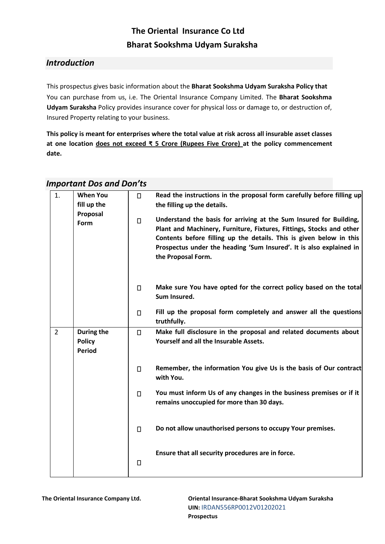## *Introduction*

This prospectus gives basic information about the **Bharat Sookshma Udyam Suraksha Policy that** You can purchase from us, i.e. The Oriental Insurance Company Limited. The **Bharat Sookshma Udyam Suraksha** Policy provides insurance cover for physical loss or damage to, or destruction of, Insured Property relating to your business.

**This policy is meant for enterprises where the total value at risk across all insurable asset classes at one location does not exceed ₹ 5 Crore (Rupees Five Crore) at the policy commencement date.** 

#### 1. **When You**   $\Box$ **Read the instructions in the proposal form carefully before filling up the filling up the details. fill up the Proposal Understand the basis for arriving at the Sum Insured for Building,**   $\Box$ **Form Plant and Machinery, Furniture, Fixtures, Fittings, Stocks and other Contents before filling up the details. This is given below in this Prospectus under the heading 'Sum Insured'. It is also explained in the Proposal Form. Make sure You have opted for the correct policy based on the total**   $\Box$ **Sum Insured. Fill up the proposal form completely and answer all the questions**   $\Box$ **truthfully.**  2 **During the**   $\Box$ **Make full disclosure in the proposal and related documents about Yourself and all the Insurable Assets. Policy Period**  $\Box$ **Remember, the information You give Us is the basis of Our contract with You. You must inform Us of any changes in the business premises or if it**   $\Box$ **remains unoccupied for more than 30 days. Do not allow unauthorised persons to occupy Your premises.**   $\Box$ **Ensure that all security procedures are in force.**  $\Box$

## *Important Dos and Don'ts*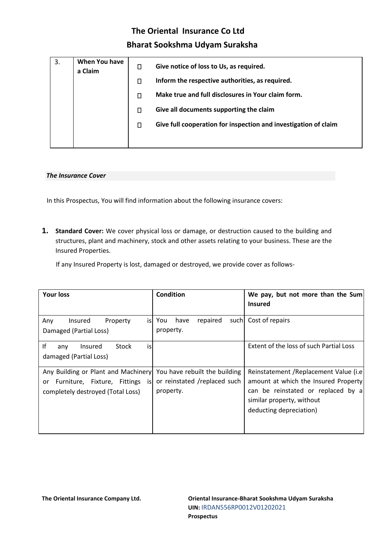| 3. | When You have<br>a Claim | О | Give notice of loss to Us, as required.                         |
|----|--------------------------|---|-----------------------------------------------------------------|
|    |                          | П | Inform the respective authorities, as required.                 |
|    |                          | П | Make true and full disclosures in Your claim form.              |
|    |                          | П | Give all documents supporting the claim                         |
|    |                          | П | Give full cooperation for inspection and investigation of claim |
|    |                          |   |                                                                 |

#### *The Insurance Cover*

In this Prospectus, You will find information about the following insurance covers:

**1. Standard Cover:** We cover physical loss or damage, or destruction caused to the building and structures, plant and machinery, stock and other assets relating to your business. These are the Insured Properties.

If any Insured Property is lost, damaged or destroyed, we provide cover as follows-

| <b>Your loss</b>                                                                                                      | <b>Condition</b>                                                           | We pay, but not more than the Sum<br><b>Insured</b>                                                                                                                           |
|-----------------------------------------------------------------------------------------------------------------------|----------------------------------------------------------------------------|-------------------------------------------------------------------------------------------------------------------------------------------------------------------------------|
| isl<br>Property<br>Any<br>Insured<br>Damaged (Partial Loss)                                                           | have<br>repaired<br>You<br>property.                                       | such Cost of repairs                                                                                                                                                          |
| Ιf<br>is<br>Stock<br>Insured<br>any<br>damaged (Partial Loss)                                                         |                                                                            | Extent of the loss of such Partial Loss                                                                                                                                       |
| Any Building or Plant and Machinery<br>Furniture, Fixture, Fittings<br>isl<br>or<br>completely destroyed (Total Loss) | You have rebuilt the building<br>or reinstated /replaced such<br>property. | Reinstatement / Replacement Value (i.e)<br>amount at which the Insured Property<br>can be reinstated or replaced by a<br>similar property, without<br>deducting depreciation) |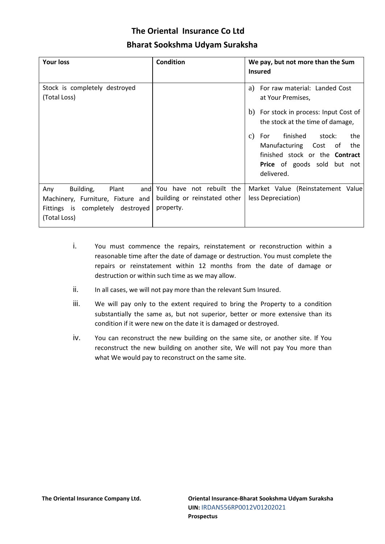| <b>Your loss</b>                                 | <b>Condition</b>             | We pay, but not more than the Sum<br><b>Insured</b>                        |
|--------------------------------------------------|------------------------------|----------------------------------------------------------------------------|
| Stock is completely destroyed<br>(Total Loss)    |                              | For raw material: Landed Cost<br>a)<br>at Your Premises,                   |
|                                                  |                              | b) For stock in process: Input Cost of<br>the stock at the time of damage, |
|                                                  |                              | finished<br>stock:<br>the<br>For<br>$\mathcal{C}$ )                        |
|                                                  |                              | Manufacturing Cost of the                                                  |
|                                                  |                              | finished stock or the <b>Contract</b>                                      |
|                                                  |                              | <b>Price</b> of goods sold but not<br>delivered.                           |
| Building,<br>Plant<br>Any<br>and                 | You have not rebuilt the     | Market Value (Reinstatement Value                                          |
| Machinery, Furniture, Fixture and                | building or reinstated other | less Depreciation)                                                         |
| Fittings is completely destroyed<br>(Total Loss) | property.                    |                                                                            |

- i. You must commence the repairs, reinstatement or reconstruction within a reasonable time after the date of damage or destruction. You must complete the repairs or reinstatement within 12 months from the date of damage or destruction or within such time as we may allow.
- ii. In all cases, we will not pay more than the relevant Sum Insured.
- iii. We will pay only to the extent required to bring the Property to a condition substantially the same as, but not superior, better or more extensive than its condition if it were new on the date it is damaged or destroyed.
- iv. You can reconstruct the new building on the same site, or another site. If You reconstruct the new building on another site, We will not pay You more than what We would pay to reconstruct on the same site.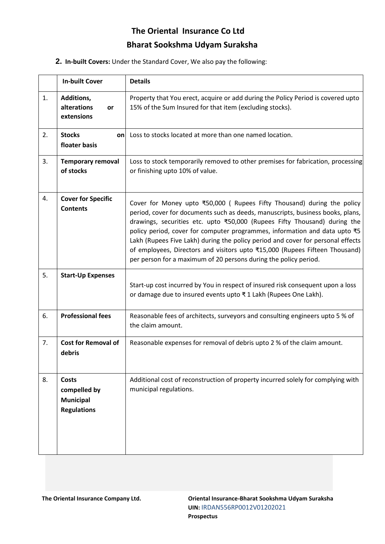**2. In-built Covers:** Under the Standard Cover, We also pay the following:

|    | <b>In-built Cover</b>                                                  | <b>Details</b>                                                                                                                                                                                                                                                                                                                                                                                                                                                                                                                                            |
|----|------------------------------------------------------------------------|-----------------------------------------------------------------------------------------------------------------------------------------------------------------------------------------------------------------------------------------------------------------------------------------------------------------------------------------------------------------------------------------------------------------------------------------------------------------------------------------------------------------------------------------------------------|
| 1. | Additions,<br>alterations<br><b>or</b><br>extensions                   | Property that You erect, acquire or add during the Policy Period is covered upto<br>15% of the Sum Insured for that item (excluding stocks).                                                                                                                                                                                                                                                                                                                                                                                                              |
| 2. | <b>Stocks</b><br>onl<br>floater basis                                  | Loss to stocks located at more than one named location.                                                                                                                                                                                                                                                                                                                                                                                                                                                                                                   |
| 3. | <b>Temporary removal</b><br>of stocks                                  | Loss to stock temporarily removed to other premises for fabrication, processing<br>or finishing upto 10% of value.                                                                                                                                                                                                                                                                                                                                                                                                                                        |
| 4. | <b>Cover for Specific</b><br><b>Contents</b>                           | Cover for Money upto ₹50,000 (Rupees Fifty Thousand) during the policy<br>period, cover for documents such as deeds, manuscripts, business books, plans,<br>drawings, securities etc. upto ₹50,000 (Rupees Fifty Thousand) during the<br>policy period, cover for computer programmes, information and data upto ₹5<br>Lakh (Rupees Five Lakh) during the policy period and cover for personal effects<br>of employees, Directors and visitors upto ₹15,000 (Rupees Fifteen Thousand)<br>per person for a maximum of 20 persons during the policy period. |
| 5. | <b>Start-Up Expenses</b>                                               | Start-up cost incurred by You in respect of insured risk consequent upon a loss<br>or damage due to insured events upto ₹1 Lakh (Rupees One Lakh).                                                                                                                                                                                                                                                                                                                                                                                                        |
| 6. | <b>Professional fees</b>                                               | Reasonable fees of architects, surveyors and consulting engineers upto 5 % of<br>the claim amount.                                                                                                                                                                                                                                                                                                                                                                                                                                                        |
| 7. | <b>Cost for Removal of</b><br>debris                                   | Reasonable expenses for removal of debris upto 2 % of the claim amount.                                                                                                                                                                                                                                                                                                                                                                                                                                                                                   |
| 8. | <b>Costs</b><br>compelled by<br><b>Municipal</b><br><b>Regulations</b> | Additional cost of reconstruction of property incurred solely for complying with<br>municipal regulations.                                                                                                                                                                                                                                                                                                                                                                                                                                                |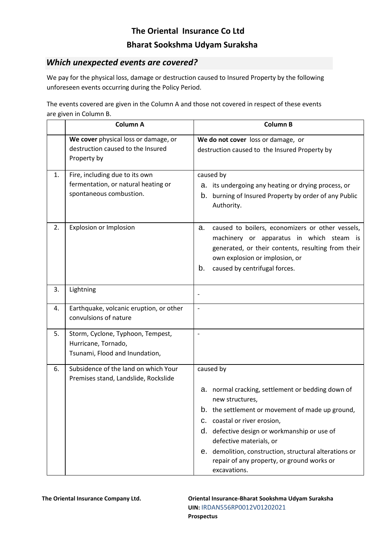## *Which unexpected events are covered?*

We pay for the physical loss, damage or destruction caused to Insured Property by the following unforeseen events occurring during the Policy Period.

The events covered are given in the Column A and those not covered in respect of these events are given in Column B.

|    | <b>Column A</b>                                                                                  | <b>Column B</b>                                                                                                                                                                                                                                                                                                                                                          |
|----|--------------------------------------------------------------------------------------------------|--------------------------------------------------------------------------------------------------------------------------------------------------------------------------------------------------------------------------------------------------------------------------------------------------------------------------------------------------------------------------|
|    | We cover physical loss or damage, or<br>destruction caused to the Insured<br>Property by         | We do not cover loss or damage, or<br>destruction caused to the Insured Property by                                                                                                                                                                                                                                                                                      |
| 1. | Fire, including due to its own<br>fermentation, or natural heating or<br>spontaneous combustion. | caused by<br>a. its undergoing any heating or drying process, or<br>b. burning of Insured Property by order of any Public<br>Authority.                                                                                                                                                                                                                                  |
| 2. | <b>Explosion or Implosion</b>                                                                    | caused to boilers, economizers or other vessels,<br>a.<br>machinery or apparatus in which steam is<br>generated, or their contents, resulting from their<br>own explosion or implosion, or<br>b.<br>caused by centrifugal forces.                                                                                                                                        |
| 3. | Lightning                                                                                        | $\overline{\phantom{a}}$                                                                                                                                                                                                                                                                                                                                                 |
| 4. | Earthquake, volcanic eruption, or other<br>convulsions of nature                                 | $\blacksquare$                                                                                                                                                                                                                                                                                                                                                           |
| 5. | Storm, Cyclone, Typhoon, Tempest,<br>Hurricane, Tornado,<br>Tsunami, Flood and Inundation,       | $\blacksquare$                                                                                                                                                                                                                                                                                                                                                           |
| 6. | Subsidence of the land on which Your<br>Premises stand, Landslide, Rockslide                     | caused by<br>a. normal cracking, settlement or bedding down of<br>new structures,<br>b. the settlement or movement of made up ground,<br>C. coastal or river erosion,<br>d. defective design or workmanship or use of<br>defective materials, or<br>e. demolition, construction, structural alterations or<br>repair of any property, or ground works or<br>excavations. |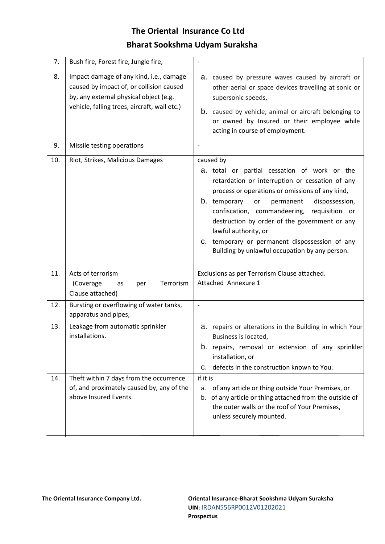| 7.  | Bush fire, Forest fire, Jungle fire,                                                                                                                                          |                                                                                                                                                                                                                                                                                                                                                                                                                                                     |
|-----|-------------------------------------------------------------------------------------------------------------------------------------------------------------------------------|-----------------------------------------------------------------------------------------------------------------------------------------------------------------------------------------------------------------------------------------------------------------------------------------------------------------------------------------------------------------------------------------------------------------------------------------------------|
| 8.  | Impact damage of any kind, i.e., damage<br>caused by impact of, or collision caused<br>by, any external physical object (e.g.<br>vehicle, falling trees, aircraft, wall etc.) | a. caused by pressure waves caused by aircraft or<br>other aerial or space devices travelling at sonic or<br>supersonic speeds,<br>b. caused by vehicle, animal or aircraft belonging to<br>or owned by Insured or their employee while<br>acting in course of employment.                                                                                                                                                                          |
| 9.  | Missile testing operations                                                                                                                                                    |                                                                                                                                                                                                                                                                                                                                                                                                                                                     |
| 10. | Riot, Strikes, Malicious Damages                                                                                                                                              | caused by<br>a. total or partial cessation of work or the<br>retardation or interruption or cessation of any<br>process or operations or omissions of any kind,<br>b. temporary<br>or<br>permanent<br>dispossession,<br>confiscation, commandeering,<br>requisition or<br>destruction by order of the government or any<br>lawful authority, or<br>C. temporary or permanent dispossession of any<br>Building by unlawful occupation by any person. |
| 11. | Acts of terrorism<br>Terrorism<br>(Coverage<br>per<br>as<br>Clause attached)                                                                                                  | Exclusions as per Terrorism Clause attached.<br>Attached Annexure 1                                                                                                                                                                                                                                                                                                                                                                                 |
| 12. | Bursting or overflowing of water tanks,<br>apparatus and pipes,                                                                                                               | $\blacksquare$                                                                                                                                                                                                                                                                                                                                                                                                                                      |
| 13. | Leakage from automatic sprinkler<br>installations.                                                                                                                            | a. repairs or alterations in the Building in which Your<br>Business is located,<br>b. repairs, removal or extension of any sprinkler<br>installation, or<br>defects in the construction known to You.<br>C.                                                                                                                                                                                                                                         |
| 14. | Theft within 7 days from the occurrence<br>of, and proximately caused by, any of the<br>above Insured Events.                                                                 | if it is<br>of any article or thing outside Your Premises, or<br>a.<br>of any article or thing attached from the outside of<br>b.<br>the outer walls or the roof of Your Premises,<br>unless securely mounted.                                                                                                                                                                                                                                      |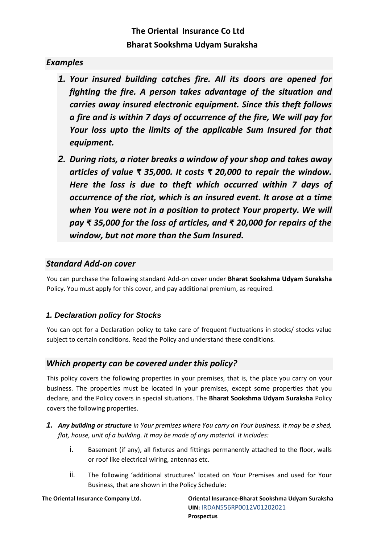## *Examples*

- *1. Your insured building catches fire. All its doors are opened for fighting the fire. A person takes advantage of the situation and carries away insured electronic equipment. Since this theft follows a fire and is within 7 days of occurrence of the fire, We will pay for Your loss upto the limits of the applicable Sum Insured for that equipment.*
- *2. During riots, a rioter breaks a window of your shop and takes away articles of value ₹ 35,000. It costs ₹ 20,000 to repair the window. Here the loss is due to theft which occurred within 7 days of occurrence of the riot, which is an insured event. It arose at a time when You were not in a position to protect Your property. We will pay ₹ 35,000 for the loss of articles, and ₹ 20,000 for repairs of the window, but not more than the Sum Insured.*

### *Standard Add-on cover*

You can purchase the following standard Add-on cover under **Bharat Sookshma Udyam Suraksha** Policy. You must apply for this cover, and pay additional premium, as required.

### *1. Declaration policy for Stocks*

You can opt for a Declaration policy to take care of frequent fluctuations in stocks/ stocks value subject to certain conditions. Read the Policy and understand these conditions.

## *Which property can be covered under this policy?*

This policy covers the following properties in your premises, that is, the place you carry on your business. The properties must be located in your premises, except some properties that you declare, and the Policy covers in special situations. The **Bharat Sookshma Udyam Suraksha** Policy covers the following properties.

- *1. Any building or structure in Your premises where You carry on Your business. It may be a shed, flat, house, unit of a building. It may be made of any material. It includes:*
	- i. Basement (if any), all fixtures and fittings permanently attached to the floor, walls or roof like electrical wiring, antennas etc.
	- ii. The following 'additional structures' located on Your Premises and used for Your Business, that are shown in the Policy Schedule: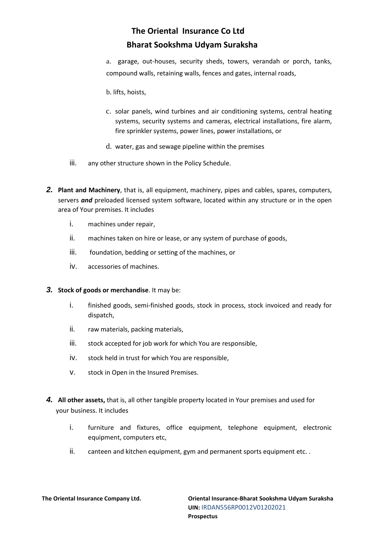a. garage, out-houses, security sheds, towers, verandah or porch, tanks, compound walls, retaining walls, fences and gates, internal roads,

- b. lifts, hoists,
- c. solar panels, wind turbines and air conditioning systems, central heating systems, security systems and cameras, electrical installations, fire alarm, fire sprinkler systems, power lines, power installations, or
- d. water, gas and sewage pipeline within the premises
- iii. any other structure shown in the Policy Schedule.
- *2.* **Plant and Machinery**, that is, all equipment, machinery, pipes and cables, spares, computers, servers *and* preloaded licensed system software, located within any structure or in the open area of Your premises. It includes
	- i. machines under repair,
	- ii. machines taken on hire or lease, or any system of purchase of goods,
	- iii. foundation, bedding or setting of the machines, or
	- iv. accessories of machines.
- *3.* **Stock of goods or merchandise**. It may be:
	- i. finished goods, semi-finished goods, stock in process, stock invoiced and ready for dispatch,
	- ii. raw materials, packing materials,
	- iii. stock accepted for job work for which You are responsible,
	- iv. stock held in trust for which You are responsible,
	- v. stock in Open in the Insured Premises.
- *4.* **All other assets,** that is, all other tangible property located in Your premises and used for your business. It includes
	- i. furniture and fixtures, office equipment, telephone equipment, electronic equipment, computers etc,
	- ii. canteen and kitchen equipment, gym and permanent sports equipment etc..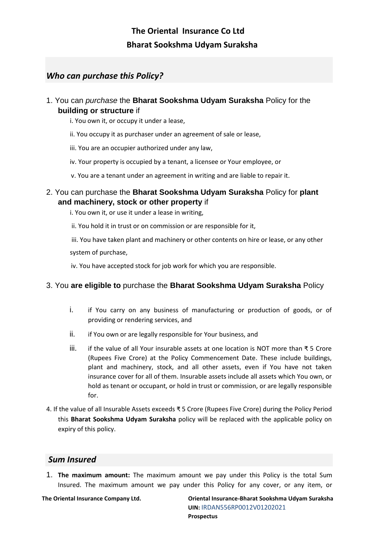## *Who can purchase this Policy?*

- 1. You can *purchase* the **Bharat Sookshma Udyam Suraksha** Policy for the **building or structure** if
	- i. You own it, or occupy it under a lease,
	- ii. You occupy it as purchaser under an agreement of sale or lease,
	- iii. You are an occupier authorized under any law,
	- iv. Your property is occupied by a tenant, a licensee or Your employee, or
	- v. You are a tenant under an agreement in writing and are liable to repair it.

### 2. You can purchase the **Bharat Sookshma Udyam Suraksha** Policy for **plant and machinery, stock or other property** if

i. You own it, or use it under a lease in writing,

ii. You hold it in trust or on commission or are responsible for it,

iii. You have taken plant and machinery or other contents on hire or lease, or any other system of purchase,

iv. You have accepted stock for job work for which you are responsible.

### 3. You **are eligible to** purchase the **Bharat Sookshma Udyam Suraksha** Policy

- i. if You carry on any business of manufacturing or production of goods, or of providing or rendering services, and
- ii. if You own or are legally responsible for Your business, and
- iii. if the value of all Your insurable assets at one location is NOT more than ₹ 5 Crore (Rupees Five Crore) at the Policy Commencement Date. These include buildings, plant and machinery, stock, and all other assets, even if You have not taken insurance cover for all of them. Insurable assets include all assets which You own, or hold as tenant or occupant, or hold in trust or commission, or are legally responsible for.
- 4. If the value of all Insurable Assets exceeds ₹ 5 Crore (Rupees Five Crore) during the Policy Period this **Bharat Sookshma Udyam Suraksha** policy will be replaced with the applicable policy on expiry of this policy.

## *Sum Insured*

1. **The maximum amount:** The maximum amount we pay under this Policy is the total Sum Insured. The maximum amount we pay under this Policy for any cover, or any item, or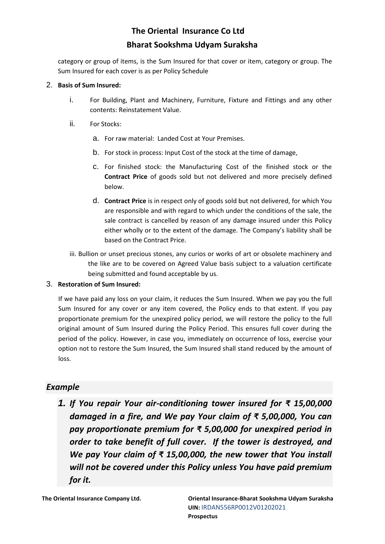category or group of items, is the Sum Insured for that cover or item, category or group. The Sum Insured for each cover is as per Policy Schedule

#### 2. **Basis of Sum Insured:**

- i. For Building, Plant and Machinery, Furniture, Fixture and Fittings and any other contents: Reinstatement Value.
- ii. For Stocks:
	- a. For raw material: Landed Cost at Your Premises.
	- b. For stock in process: Input Cost of the stock at the time of damage,
	- c. For finished stock: the Manufacturing Cost of the finished stock or the **Contract Price** of goods sold but not delivered and more precisely defined below.
	- d. **Contract Price** is in respect only of goods sold but not delivered, for which You are responsible and with regard to which under the conditions of the sale, the sale contract is cancelled by reason of any damage insured under this Policy either wholly or to the extent of the damage. The Company's liability shall be based on the Contract Price.
- iii. Bullion or unset precious stones, any curios or works of art or obsolete machinery and the like are to be covered on Agreed Value basis subject to a valuation certificate being submitted and found acceptable by us.

### 3. **Restoration of Sum Insured:**

If we have paid any loss on your claim, it reduces the Sum Insured. When we pay you the full Sum Insured for any cover or any item covered, the Policy ends to that extent. If you pay proportionate premium for the unexpired policy period, we will restore the policy to the full original amount of Sum Insured during the Policy Period. This ensures full cover during the period of the policy. However, in case you, immediately on occurrence of loss, exercise your option not to restore the Sum Insured, the Sum Insured shall stand reduced by the amount of loss.

## *Example*

*1. If You repair Your air-conditioning tower insured for ₹ 15,00,000 damaged in a fire, and We pay Your claim of ₹ 5,00,000, You can pay proportionate premium for ₹ 5,00,000 for unexpired period in order to take benefit of full cover. If the tower is destroyed, and We pay Your claim of ₹ 15,00,000, the new tower that You install will not be covered under this Policy unless You have paid premium for it.*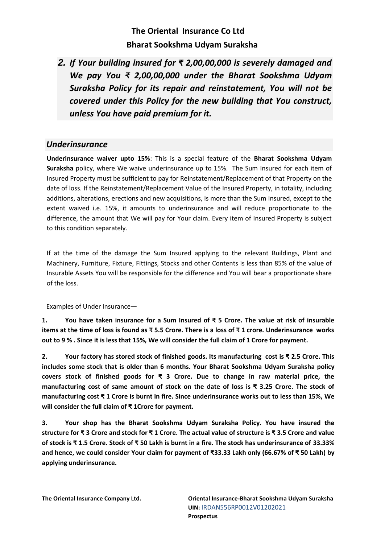*2. If Your building insured for ₹ 2,00,00,000 is severely damaged and We pay You ₹ 2,00,00,000 under the Bharat Sookshma Udyam Suraksha Policy for its repair and reinstatement, You will not be covered under this Policy for the new building that You construct, unless You have paid premium for it.* 

## *Underinsurance*

**Underinsurance waiver upto 15%**: This is a special feature of the **Bharat Sookshma Udyam Suraksha** policy, where We waive underinsurance up to 15%. The Sum Insured for each item of Insured Property must be sufficient to pay for Reinstatement/Replacement of that Property on the date of loss. If the Reinstatement/Replacement Value of the Insured Property, in totality, including additions, alterations, erections and new acquisitions, is more than the Sum Insured, except to the extent waived i.e. 15%, it amounts to underinsurance and will reduce proportionate to the difference, the amount that We will pay for Your claim. Every item of Insured Property is subject to this condition separately.

If at the time of the damage the Sum Insured applying to the relevant Buildings, Plant and Machinery, Furniture, Fixture, Fittings, Stocks and other Contents is less than 85% of the value of Insurable Assets You will be responsible for the difference and You will bear a proportionate share of the loss.

Examples of Under Insurance—

**1. You have taken insurance for a Sum Insured of ₹ 5 Crore. The value at risk of insurable items at the time of loss is found as ₹ 5.5 Crore. There is a loss of ₹ 1 crore. Underinsurance works out to 9 % . Since it is less that 15%, We will consider the full claim of 1 Crore for payment.** 

**2. Your factory has stored stock of finished goods. Its manufacturing cost is ₹ 2.5 Crore. This includes some stock that is older than 6 months. Your Bharat Sookshma Udyam Suraksha policy covers stock of finished goods for ₹ 3 Crore. Due to change in raw material price, the manufacturing cost of same amount of stock on the date of loss is ₹ 3.25 Crore. The stock of manufacturing cost ₹ 1 Crore is burnt in fire. Since underinsurance works out to less than 15%, We will consider the full claim of ₹ 1Crore for payment.** 

**3. Your shop has the Bharat Sookshma Udyam Suraksha Policy. You have insured the structure for ₹ 3 Crore and stock for ₹ 1 Crore. The actual value of structure is ₹ 3.5 Crore and value of stock is ₹ 1.5 Crore. Stock of ₹ 50 Lakh is burnt in a fire. The stock has underinsurance of 33.33% and hence, we could consider Your claim for payment of ₹33.33 Lakh only (66.67% of ₹ 50 Lakh) by applying underinsurance.**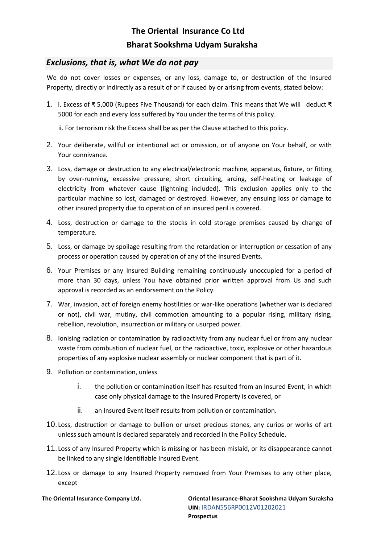### *Exclusions, that is, what We do not pay*

We do not cover losses or expenses, or any loss, damage to, or destruction of the Insured Property, directly or indirectly as a result of or if caused by or arising from events, stated below:

1. i. Excess of ₹ 5,000 (Rupees Five Thousand) for each claim. This means that We will deduct ₹ 5000 for each and every loss suffered by You under the terms of this policy.

ii. For terrorism risk the Excess shall be as per the Clause attached to this policy.

- 2. Your deliberate, willful or intentional act or omission, or of anyone on Your behalf, or with Your connivance.
- 3. Loss, damage or destruction to any electrical/electronic machine, apparatus, fixture, or fitting by over-running, excessive pressure, short circuiting, arcing, self-heating or leakage of electricity from whatever cause (lightning included). This exclusion applies only to the particular machine so lost, damaged or destroyed. However, any ensuing loss or damage to other insured property due to operation of an insured peril is covered.
- 4. Loss, destruction or damage to the stocks in cold storage premises caused by change of temperature.
- 5. Loss, or damage by spoilage resulting from the retardation or interruption or cessation of any process or operation caused by operation of any of the Insured Events.
- 6. Your Premises or any Insured Building remaining continuously unoccupied for a period of more than 30 days, unless You have obtained prior written approval from Us and such approval is recorded as an endorsement on the Policy.
- 7. War, invasion, act of foreign enemy hostilities or war-like operations (whether war is declared or not), civil war, mutiny, civil commotion amounting to a popular rising, military rising, rebellion, revolution, insurrection or military or usurped power.
- 8. Ionising radiation or contamination by radioactivity from any nuclear fuel or from any nuclear waste from combustion of nuclear fuel, or the radioactive, toxic, explosive or other hazardous properties of any explosive nuclear assembly or nuclear component that is part of it.
- 9. Pollution or contamination, unless
	- i. the pollution or contamination itself has resulted from an Insured Event, in which case only physical damage to the Insured Property is covered, or
	- ii. an Insured Event itself results from pollution or contamination.
- 10. Loss, destruction or damage to bullion or unset precious stones, any curios or works of art unless such amount is declared separately and recorded in the Policy Schedule.
- 11. Loss of any Insured Property which is missing or has been mislaid, or its disappearance cannot be linked to any single identifiable Insured Event.
- 12. Loss or damage to any Insured Property removed from Your Premises to any other place, except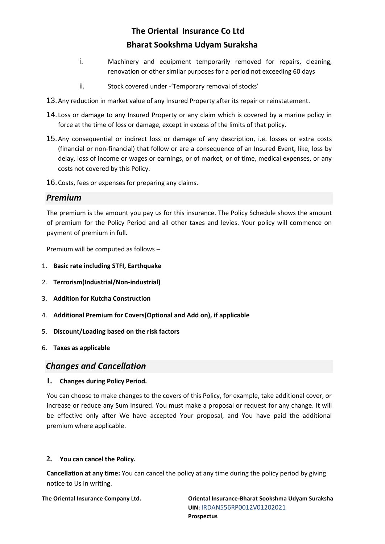- i. Machinery and equipment temporarily removed for repairs, cleaning, renovation or other similar purposes for a period not exceeding 60 days
- ii. Stock covered under Temporary removal of stocks'
- 13.Any reduction in market value of any Insured Property after its repair or reinstatement.
- 14. Loss or damage to any Insured Property or any claim which is covered by a marine policy in force at the time of loss or damage, except in excess of the limits of that policy.
- 15.Any consequential or indirect loss or damage of any description, i.e. losses or extra costs (financial or non-financial) that follow or are a consequence of an Insured Event, like, loss by delay, loss of income or wages or earnings, or of market, or of time, medical expenses, or any costs not covered by this Policy.

16.Costs, fees or expenses for preparing any claims.

### *Premium*

The premium is the amount you pay us for this insurance. The Policy Schedule shows the amount of premium for the Policy Period and all other taxes and levies. Your policy will commence on payment of premium in full.

Premium will be computed as follows –

- 1. **Basic rate including STFI, Earthquake**
- 2. **Terrorism(Industrial/Non-industrial)**
- 3. **Addition for Kutcha Construction**
- 4. **Additional Premium for Covers(Optional and Add on), if applicable**
- 5. **Discount/Loading based on the risk factors**
- 6. **Taxes as applicable**

### *Changes and Cancellation*

#### **1. Changes during Policy Period.**

You can choose to make changes to the covers of this Policy, for example, take additional cover, or increase or reduce any Sum Insured. You must make a proposal or request for any change. It will be effective only after We have accepted Your proposal, and You have paid the additional premium where applicable.

### **2. You can cancel the Policy.**

**Cancellation at any time:** You can cancel the policy at any time during the policy period by giving notice to Us in writing.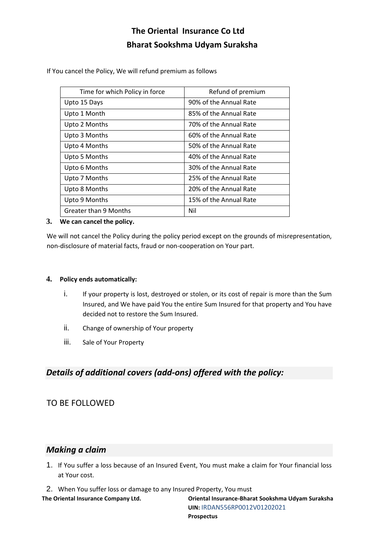If You cancel the Policy, We will refund premium as follows

| Time for which Policy in force | Refund of premium      |
|--------------------------------|------------------------|
| Upto 15 Days                   | 90% of the Annual Rate |
| Upto 1 Month                   | 85% of the Annual Rate |
| Upto 2 Months                  | 70% of the Annual Rate |
| Upto 3 Months                  | 60% of the Annual Rate |
| Upto 4 Months                  | 50% of the Annual Rate |
| Upto 5 Months                  | 40% of the Annual Rate |
| Upto 6 Months                  | 30% of the Annual Rate |
| Upto 7 Months                  | 25% of the Annual Rate |
| Upto 8 Months                  | 20% of the Annual Rate |
| Upto 9 Months                  | 15% of the Annual Rate |
| <b>Greater than 9 Months</b>   | Nil                    |

#### **3. We can cancel the policy.**

We will not cancel the Policy during the policy period except on the grounds of misrepresentation, non-disclosure of material facts, fraud or non-cooperation on Your part.

#### **4. Policy ends automatically:**

- i. If your property is lost, destroyed or stolen, or its cost of repair is more than the Sum Insured, and We have paid You the entire Sum Insured for that property and You have decided not to restore the Sum Insured.
- ii. Change of ownership of Your property
- iii. Sale of Your Property

## *Details of additional covers (add-ons) offered with the policy:*

### TO BE FOLLOWED

### *Making a claim*

- 1. If You suffer a loss because of an Insured Event, You must make a claim for Your financial loss at Your cost.
- 2. When You suffer loss or damage to any Insured Property, You must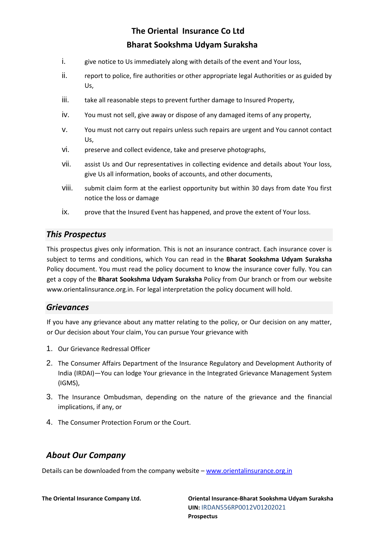- i. give notice to Us immediately along with details of the event and Your loss,
- ii. report to police, fire authorities or other appropriate legal Authorities or as guided by Us,
- iii. take all reasonable steps to prevent further damage to Insured Property,
- iv. You must not sell, give away or dispose of any damaged items of any property,
- v. You must not carry out repairs unless such repairs are urgent and You cannot contact Us,
- vi. preserve and collect evidence, take and preserve photographs,
- vii. assist Us and Our representatives in collecting evidence and details about Your loss, give Us all information, books of accounts, and other documents,
- viii. submit claim form at the earliest opportunity but within 30 days from date You first notice the loss or damage
- ix. prove that the Insured Event has happened, and prove the extent of Your loss.

### *This Prospectus*

This prospectus gives only information. This is not an insurance contract. Each insurance cover is subject to terms and conditions, which You can read in the **Bharat Sookshma Udyam Suraksha** Policy document. You must read the policy document to know the insurance cover fully. You can get a copy of the **Bharat Sookshma Udyam Suraksha** Policy from Our branch or from our website www.orientalinsurance.org.in. For legal interpretation the policy document will hold.

### *Grievances*

If you have any grievance about any matter relating to the policy, or Our decision on any matter, or Our decision about Your claim, You can pursue Your grievance with

- 1. Our Grievance Redressal Officer
- 2. The Consumer Affairs Department of the Insurance Regulatory and Development Authority of India (IRDAI)—You can lodge Your grievance in the Integrated Grievance Management System (IGMS),
- 3. The Insurance Ombudsman, depending on the nature of the grievance and the financial implications, if any, or
- 4. The Consumer Protection Forum or the Court.

### *About Our Company*

Details can be downloaded from the company website – [www.orientalinsurance.org.in](http://www.orientalinsurance.org.in/)